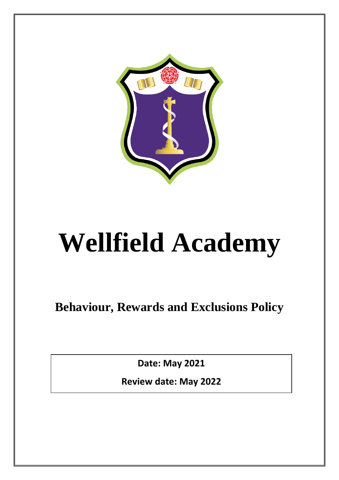

# **Wellfield Academy**

**Behaviour, Rewards and Exclusions Policy**

**Date: May 2021**

**Review date: May 2022**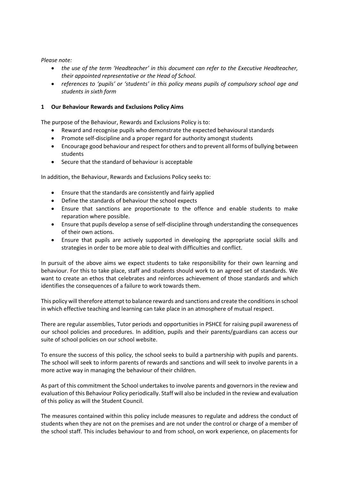*Please note:*

- *the use of the term 'Headteacher' in this document can refer to the Executive Headteacher, their appointed representative or the Head of School.*
- *references to 'pupils' or 'students' in this policy means pupils of compulsory school age and students in sixth form*

### **1 Our Behaviour Rewards and Exclusions Policy Aims**

The purpose of the Behaviour, Rewards and Exclusions Policy is to:

- Reward and recognise pupils who demonstrate the expected behavioural standards
- Promote self-discipline and a proper regard for authority amongst students
- Encourage good behaviour and respect for others and to prevent all forms of bullying between students
- Secure that the standard of behaviour is acceptable

In addition, the Behaviour, Rewards and Exclusions Policy seeks to:

- Ensure that the standards are consistently and fairly applied
- Define the standards of behaviour the school expects
- Ensure that sanctions are proportionate to the offence and enable students to make reparation where possible.
- Ensure that pupils develop a sense of self-discipline through understanding the consequences of their own actions.
- Ensure that pupils are actively supported in developing the appropriate social skills and strategies in order to be more able to deal with difficulties and conflict.

In pursuit of the above aims we expect students to take responsibility for their own learning and behaviour. For this to take place, staff and students should work to an agreed set of standards. We want to create an ethos that celebrates and reinforces achievement of those standards and which identifies the consequences of a failure to work towards them.

This policy will therefore attempt to balance rewards and sanctions and create the conditions in school in which effective teaching and learning can take place in an atmosphere of mutual respect.

There are regular assemblies, Tutor periods and opportunities in PSHCE for raising pupil awareness of our school policies and procedures. In addition, pupils and their parents/guardians can access our suite of school policies on our school website.

To ensure the success of this policy, the school seeks to build a partnership with pupils and parents. The school will seek to inform parents of rewards and sanctions and will seek to involve parents in a more active way in managing the behaviour of their children.

As part of this commitment the School undertakes to involve parents and governors in the review and evaluation of this Behaviour Policy periodically. Staff will also be included in the review and evaluation of this policy as will the Student Council.

The measures contained within this policy include measures to regulate and address the conduct of students when they are not on the premises and are not under the control or charge of a member of the school staff. This includes behaviour to and from school, on work experience, on placements for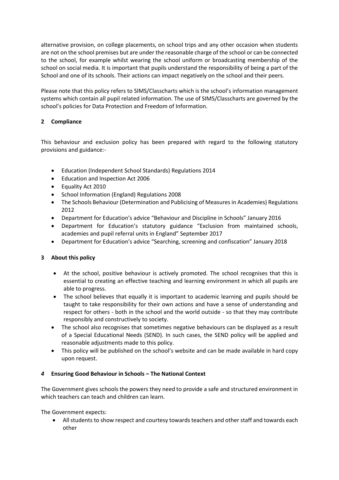alternative provision, on college placements, on school trips and any other occasion when students are not on the school premises but are under the reasonable charge of the school or can be connected to the school, for example whilst wearing the school uniform or broadcasting membership of the school on social media. It is important that pupils understand the responsibility of being a part of the School and one of its schools. Their actions can impact negatively on the school and their peers.

Please note that this policy refers to SIMS/Classcharts which is the school's information management systems which contain all pupil related information. The use of SIMS/Classcharts are governed by the school's policies for Data Protection and Freedom of Information.

# **2 Compliance**

This behaviour and exclusion policy has been prepared with regard to the following statutory provisions and guidance:-

- Education (Independent School Standards) Regulations 2014
- Education and Inspection Act 2006
- Equality Act 2010
- School Information (England) Regulations 2008
- The Schools Behaviour (Determination and Publicising of Measures in Academies) Regulations 2012
- Department for Education's advice "Behaviour and Discipline in Schools" January 2016
- Department for Education's statutory guidance "Exclusion from maintained schools, academies and pupil referral units in England" September 2017
- Department for Education's advice "Searching, screening and confiscation" January 2018

# **3 About this policy**

- At the school, positive behaviour is actively promoted. The school recognises that this is essential to creating an effective teaching and learning environment in which all pupils are able to progress.
- The school believes that equally it is important to academic learning and pupils should be taught to take responsibility for their own actions and have a sense of understanding and respect for others - both in the school and the world outside - so that they may contribute responsibly and constructively to society.
- The school also recognises that sometimes negative behaviours can be displayed as a result of a Special Educational Needs (SEND). In such cases, the SEND policy will be applied and reasonable adjustments made to this policy.
- This policy will be published on the school's website and can be made available in hard copy upon request.

# *4* **Ensuring Good Behaviour in Schools – The National Context**

The Government gives schools the powers they need to provide a safe and structured environment in which teachers can teach and children can learn.

The Government expects:

• All students to show respect and courtesy towards teachers and other staff and towards each other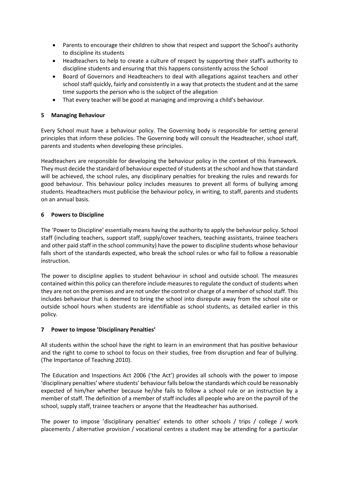- Parents to encourage their children to show that respect and support the School's authority to discipline its students
- Headteachers to help to create a culture of respect by supporting their staff's authority to discipline students and ensuring that this happens consistently across the School
- Board of Governors and Headteachers to deal with allegations against teachers and other school staff quickly, fairly and consistently in a way that protects the student and at the same time supports the person who is the subject of the allegation
- That every teacher will be good at managing and improving a child's behaviour.

# **5 Managing Behaviour**

Every School must have a behaviour policy. The Governing body is responsible for setting general principles that inform these policies. The Governing body will consult the Headteacher, school staff, parents and students when developing these principles.

Headteachers are responsible for developing the behaviour policy in the context of this framework. They must decide the standard of behaviour expected of students at the school and how that standard will be achieved, the school rules, any disciplinary penalties for breaking the rules and rewards for good behaviour. This behaviour policy includes measures to prevent all forms of bullying among students. Headteachers must publicise the behaviour policy, in writing, to staff, parents and students on an annual basis.

# **6 Powers to Discipline**

The 'Power to Discipline' essentially means having the authority to apply the behaviour policy. School staff (including teachers, support staff, supply/cover teachers, teaching assistants, trainee teachers and other paid staff in the school community) have the power to discipline students whose behaviour falls short of the standards expected, who break the school rules or who fail to follow a reasonable instruction.

The power to discipline applies to student behaviour in school and outside school. The measures contained within this policy can therefore include measures to regulate the conduct of students when they are not on the premises and are not under the control or charge of a member of school staff. This includes behaviour that is deemed to bring the school into disrepute away from the school site or outside school hours when students are identifiable as school students, as detailed earlier in this policy.

# **7 Power to Impose 'Disciplinary Penalties'**

All students within the school have the right to learn in an environment that has positive behaviour and the right to come to school to focus on their studies, free from disruption and fear of bullying. (The Importance of Teaching 2010).

The Education and Inspections Act 2006 ('the Act') provides all schools with the power to impose 'disciplinary penalties' where students' behaviour falls below the standards which could be reasonably expected of him/her whether because he/she fails to follow a school rule or an instruction by a member of staff. The definition of a member of staff includes all people who are on the payroll of the school, supply staff, trainee teachers or anyone that the Headteacher has authorised.

The power to impose 'disciplinary penalties' extends to other schools / trips / college / work placements / alternative provision / vocational centres a student may be attending for a particular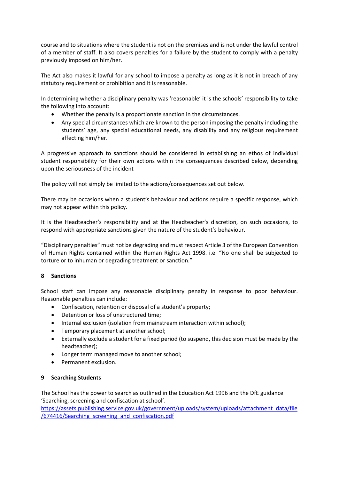course and to situations where the student is not on the premises and is not under the lawful control of a member of staff. It also covers penalties for a failure by the student to comply with a penalty previously imposed on him/her.

The Act also makes it lawful for any school to impose a penalty as long as it is not in breach of any statutory requirement or prohibition and it is reasonable.

In determining whether a disciplinary penalty was 'reasonable' it is the schools' responsibility to take the following into account:

- Whether the penalty is a proportionate sanction in the circumstances.
- Any special circumstances which are known to the person imposing the penalty including the students' age, any special educational needs, any disability and any religious requirement affecting him/her.

A progressive approach to sanctions should be considered in establishing an ethos of individual student responsibility for their own actions within the consequences described below, depending upon the seriousness of the incident

The policy will not simply be limited to the actions/consequences set out below.

There may be occasions when a student's behaviour and actions require a specific response, which may not appear within this policy.

It is the Headteacher's responsibility and at the Headteacher's discretion, on such occasions, to respond with appropriate sanctions given the nature of the student's behaviour.

"Disciplinary penalties" must not be degrading and must respect Article 3 of the European Convention of Human Rights contained within the Human Rights Act 1998. i.e. "No one shall be subjected to torture or to inhuman or degrading treatment or sanction."

### **8 Sanctions**

School staff can impose any reasonable disciplinary penalty in response to poor behaviour. Reasonable penalties can include:

- Confiscation, retention or disposal of a student's property;
- Detention or loss of unstructured time;
- Internal exclusion (isolation from mainstream interaction within school);
- Temporary placement at another school;
- Externally exclude a student for a fixed period (to suspend, this decision must be made by the headteacher);
- Longer term managed move to another school;
- Permanent exclusion.

### **9 Searching Students**

The School has the power to search as outlined in the Education Act 1996 and the DfE guidance 'Searching, screening and confiscation at school'.

[https://assets.publishing.service.gov.uk/government/uploads/system/uploads/attachment\\_data/file](about:blank) [/674416/Searching\\_screening\\_and\\_confiscation.pdf](about:blank)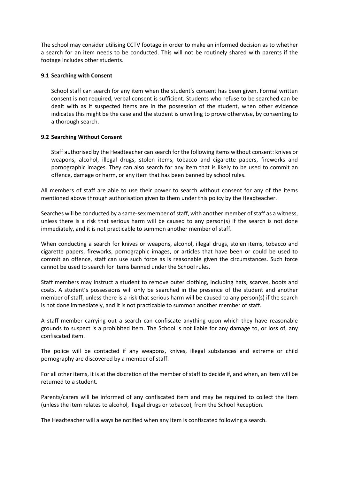The school may consider utilising CCTV footage in order to make an informed decision as to whether a search for an item needs to be conducted. This will not be routinely shared with parents if the footage includes other students.

### **9.1 Searching with Consent**

School staff can search for any item when the student's consent has been given. Formal written consent is not required, verbal consent is sufficient. Students who refuse to be searched can be dealt with as if suspected items are in the possession of the student, when other evidence indicates this might be the case and the student is unwilling to prove otherwise, by consenting to a thorough search.

### **9.2 Searching Without Consent**

Staff authorised by the Headteacher can search for the following items without consent: knives or weapons, alcohol, illegal drugs, stolen items, tobacco and cigarette papers, fireworks and pornographic images. They can also search for any item that is likely to be used to commit an offence, damage or harm, or any item that has been banned by school rules.

All members of staff are able to use their power to search without consent for any of the items mentioned above through authorisation given to them under this policy by the Headteacher.

Searches will be conducted by a same-sex member of staff, with another member of staff as a witness, unless there is a risk that serious harm will be caused to any person(s) if the search is not done immediately, and it is not practicable to summon another member of staff.

When conducting a search for knives or weapons, alcohol, illegal drugs, stolen items, tobacco and cigarette papers, fireworks, pornographic images, or articles that have been or could be used to commit an offence, staff can use such force as is reasonable given the circumstances. Such force cannot be used to search for items banned under the School rules.

Staff members may instruct a student to remove outer clothing, including hats, scarves, boots and coats. A student's possessions will only be searched in the presence of the student and another member of staff, unless there is a risk that serious harm will be caused to any person(s) if the search is not done immediately, and it is not practicable to summon another member of staff.

A staff member carrying out a search can confiscate anything upon which they have reasonable grounds to suspect is a prohibited item. The School is not liable for any damage to, or loss of, any confiscated item.

The police will be contacted if any weapons, knives, illegal substances and extreme or child pornography are discovered by a member of staff.

For all other items, it is at the discretion of the member of staff to decide if, and when, an item will be returned to a student.

Parents/carers will be informed of any confiscated item and may be required to collect the item (unless the item relates to alcohol, illegal drugs or tobacco), from the School Reception.

The Headteacher will always be notified when any item is confiscated following a search.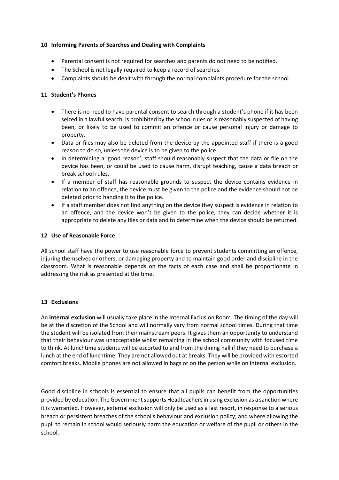## **10 Informing Parents of Searches and Dealing with Complaints**

- Parental consent is not required for searches and parents do not need to be notified.
- The School is not legally required to keep a record of searches.
- Complaints should be dealt with through the normal complaints procedure for the school.

## **11 Student's Phones**

- There is no need to have parental consent to search through a student's phone if it has been seized in a lawful search, is prohibited by the school rules or is reasonably suspected of having been, or likely to be used to commit an offence or cause personal injury or damage to property.
- Data or files may also be deleted from the device by the appointed staff if there is a good reason to do so, unless the device is to be given to the police.
- In determining a 'good reason', staff should reasonably suspect that the data or file on the device has been, or could be used to cause harm, disrupt teaching, cause a data breach or break school rules.
- If a member of staff has reasonable grounds to suspect the device contains evidence in relation to an offence, the device must be given to the police and the evidence should not be deleted prior to handing it to the police.
- If a staff member does not find anything on the device they suspect is evidence in relation to an offence, and the device won't be given to the police, they can decide whether it is appropriate to delete any files or data and to determine when the device should be returned.

### **12 Use of Reasonable Force**

All school staff have the power to use reasonable force to prevent students committing an offence, injuring themselves or others, or damaging property and to maintain good order and discipline in the classroom. What is reasonable depends on the facts of each case and shall be proportionate in addressing the risk as presented at the time.

# **13 Exclusions**

An **internal exclusion** will usually take place in the Internal Exclusion Room. The timing of the day will be at the discretion of the School and will normally vary from normal school times. During that time the student will be isolated from their mainstream peers. It gives them an opportunity to understand that their behaviour was unacceptable whilst remaining in the school community with focused time to think. At lunchtime students will be escorted to and from the dining hall if they need to purchase a lunch at the end of lunchtime. They are not allowed out at breaks. They will be provided with escorted comfort breaks. Mobile phones are not allowed in bags or on the person while on internal exclusion.

Good discipline in schools is essential to ensure that all pupils can benefit from the opportunities provided by education. The Government supports Headteachers in using exclusion as a sanction where it is warranted. However, external exclusion will only be used as a last resort, in response to a serious breach or persistent breaches of the school's behaviour and exclusion policy; and where allowing the pupil to remain in school would seriously harm the education or welfare of the pupil or others in the school.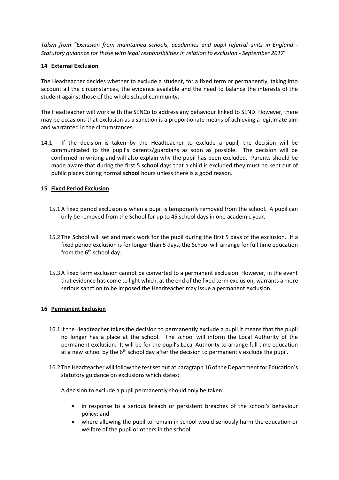*Taken from "Exclusion from maintained schools, academies and pupil referral units in England - Statutory guidance for those with legal responsibilities in relation to exclusion - September 2017"*

## **14 External Exclusion**

The Headteacher decides whether to exclude a student, for a fixed term or permanently, taking into account all the circumstances, the evidence available and the need to balance the interests of the student against those of the whole school community.

The Headteacher will work with the SENCo to address any behaviour linked to SEND. However, there may be occasions that exclusion as a sanction is a proportionate means of achieving a legitimate aim and warranted in the circumstances.

14.1 If the decision is taken by the Headteacher to exclude a pupil, the decision will be communicated to the pupil's parents/guardians as soon as possible. The decision will be confirmed in writing and will also explain why the pupil has been excluded. Parents should be made aware that during the first 5 s**chool** days that a child is excluded they must be kept out of public places during normal s**chool** hours unless there is a good reason.

## **15 Fixed Period Exclusion**

- 15.1A fixed period exclusion is when a pupil is temporarily removed from the school. A pupil can only be removed from the School for up to 45 school days in one academic year.
- 15.2 The School will set and mark work for the pupil during the first 5 days of the exclusion. If a fixed period exclusion is for longer than 5 days, the School will arrange for full time education from the  $6<sup>th</sup>$  school day.
- 15.3A fixed term exclusion cannot be converted to a permanent exclusion. However, in the event that evidence has come to light which, at the end of the fixed term exclusion, warrants a more serious sanction to be imposed the Headteacher may issue a permanent exclusion.

### **16 Permanent Exclusion**

- 16.1 If the Headteacher takes the decision to permanently exclude a pupil it means that the pupil no longer has a place at the school. The school will inform the Local Authority of the permanent exclusion. It will be for the pupil's Local Authority to arrange full time education at a new school by the 6<sup>th</sup> school day after the decision to permanently exclude the pupil.
- 16.2 The Headteacher will follow the test set out at paragraph 16 of the Department for Education's statutory guidance on exclusions which states:

A decision to exclude a pupil permanently should only be taken:

- in response to a serious breach or persistent breaches of the school's behaviour policy; and
- where allowing the pupil to remain in school would seriously harm the education or welfare of the pupil or others in the school.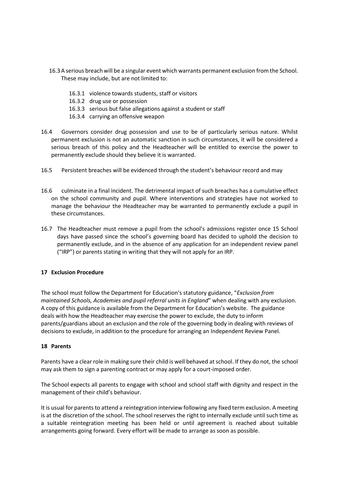- 16.3A serious breach will be a singular event which warrants permanent exclusion from the School. These may include, but are not limited to:
	- 16.3.1 violence towards students, staff or visitors
	- 16.3.2 drug use or possession
	- 16.3.3 serious but false allegations against a student or staff
	- 16.3.4 carrying an offensive weapon
- 16.4 Governors consider drug possession and use to be of particularly serious nature. Whilst permanent exclusion is not an automatic sanction in such circumstances, it will be considered a serious breach of this policy and the Headteacher will be entitled to exercise the power to permanently exclude should they believe it is warranted.
- 16.5 Persistent breaches will be evidenced through the student's behaviour record and may
- 16.6 culminate in a final incident. The detrimental impact of such breaches has a cumulative effect on the school community and pupil. Where interventions and strategies have not worked to manage the behaviour the Headteacher may be warranted to permanently exclude a pupil in these circumstances.
- 16.7 The Headteacher must remove a pupil from the school's admissions register once 15 School days have passed since the school's governing board has decided to uphold the decision to permanently exclude, and in the absence of any application for an independent review panel ("IRP") or parents stating in writing that they will not apply for an IRP.

#### **17 Exclusion Procedure**

The school must follow the Department for Education's statutory guidance, "*Exclusion from maintained Schools, Academies and pupil referral units in England*" when dealing with any exclusion. A copy of this guidance is available from the Department for Education's website. The guidance deals with how the Headteacher may exercise the power to exclude, the duty to inform parents/guardians about an exclusion and the role of the governing body in dealing with reviews of decisions to exclude, in addition to the procedure for arranging an Independent Review Panel.

#### **18 Parents**

Parents have a clear role in making sure their child is well behaved at school. If they do not, the school may ask them to sign a parenting contract or may apply for a court-imposed order.

The School expects all parents to engage with school and school staff with dignity and respect in the management of their child's behaviour.

It is usual for parents to attend a reintegration interview following any fixed term exclusion. A meeting is at the discretion of the school. The school reserves the right to internally exclude until such time as a suitable reintegration meeting has been held or until agreement is reached about suitable arrangements going forward. Every effort will be made to arrange as soon as possible.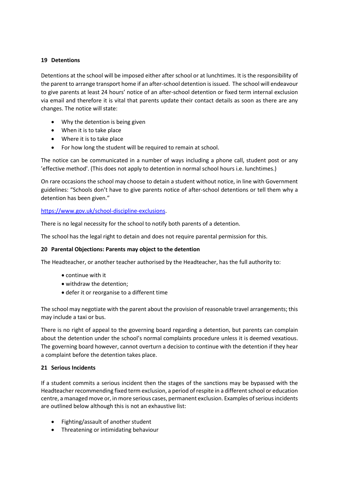# **19 Detentions**

Detentions at the school will be imposed either after school or at lunchtimes. It is the responsibility of the parent to arrange transport home if an after-school detention is issued. The school will endeavour to give parents at least 24 hours' notice of an after-school detention or fixed term internal exclusion via email and therefore it is vital that parents update their contact details as soon as there are any changes. The notice will state:

- Why the detention is being given
- When it is to take place
- Where it is to take place
- For how long the student will be required to remain at school.

The notice can be communicated in a number of ways including a phone call, student post or any 'effective method'. (This does not apply to detention in normal school hours i.e. lunchtimes.)

On rare occasions the school may choose to detain a student without notice, in line with Government guidelines: "Schools don't have to give parents notice of after-school detentions or tell them why a detention has been given."

## [https://www.gov.uk/school-discipline-exclusions.](about:blank)

There is no legal necessity for the school to notify both parents of a detention.

The school has the legal right to detain and does not require parental permission for this.

### **20 Parental Objections: Parents may object to the detention**

The Headteacher, or another teacher authorised by the Headteacher, has the full authority to:

- continue with it
- withdraw the detention;
- defer it or reorganise to a different time

The school may negotiate with the parent about the provision of reasonable travel arrangements; this may include a taxi or bus.

There is no right of appeal to the governing board regarding a detention, but parents can complain about the detention under the school's normal complaints procedure unless it is deemed vexatious. The governing board however, cannot overturn a decision to continue with the detention if they hear a complaint before the detention takes place.

# **21 Serious Incidents**

If a student commits a serious incident then the stages of the sanctions may be bypassed with the Headteacher recommending fixed term exclusion, a period of respite in a different school or education centre, a managed move or, in more serious cases, permanent exclusion. Examples of serious incidents are outlined below although this is not an exhaustive list:

- Fighting/assault of another student
- Threatening or intimidating behaviour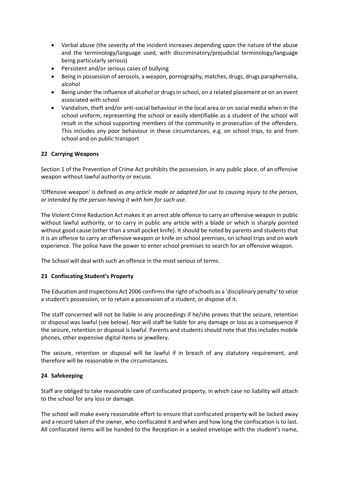- Verbal abuse (the severity of the incident increases depending upon the nature of the abuse and the terminology/language used, with discriminatory/prejudicial terminology/language being particularly serious)
- Persistent and/or serious cases of bullying
- Being in possession of aerosols, a weapon, pornography, matches, drugs, drugs paraphernalia, alcohol
- Being under the influence of alcohol or drugs in school, on a related placement or on an event associated with school
- Vandalism, theft and/or anti-social behaviour in the local area or on social media when in the school uniform, representing the school or easily identifiable as a student of the school will result in the school supporting members of the community in prosecution of the offenders. This includes any poor behaviour in these circumstances, e.g. on school trips, to and from school and on public transport

# **22 Carrying Weapons**

Section 1 of the Prevention of Crime Act prohibits the possession, in any public place, of an offensive weapon without lawful authority or excuse.

'Offensive weapon' is defined as *any article made or adapted for use to causing injury to the person, or intended by the person having it with him for such use*.

The Violent Crime Reduction Act makes it an arrest able offence to carry an offensive weapon in public without lawful authority, or to carry in public any article with a blade or which is sharply pointed without good cause (other than a small pocket knife). It should be noted by parents and students that it is an offence to carry an offensive weapon or knife on school premises, on school trips and on work experience. The police have the power to enter school premises to search for an offensive weapon.

The School will deal with such an offence in the most serious of terms.

# **23 Confiscating Student's Property**

The Education and Inspections Act 2006 confirms the right of schools as a 'disciplinary penalty' to seize a student's possession, or to retain a possession of a student, or dispose of it.

The staff concerned will not be liable in any proceedings if he/she proves that the seizure, retention or disposal was lawful (see below). Nor will staff be liable for any damage or loss as a consequence if the seizure, retention or disposal is lawful. Parents and students should note that this includes mobile phones, other expensive digital items or jewellery.

The seizure, retention or disposal will be lawful if in breach of any statutory requirement, and therefore will be reasonable in the circumstances.

### **24 Safekeeping**

Staff are obliged to take reasonable care of confiscated property, in which case no liability will attach to the school for any loss or damage.

The school will make every reasonable effort to ensure that confiscated property will be locked away and a record taken of the owner, who confiscated it and when and how long the confiscation is to last. All confiscated items will be handed to the Reception in a sealed envelope with the student's name,